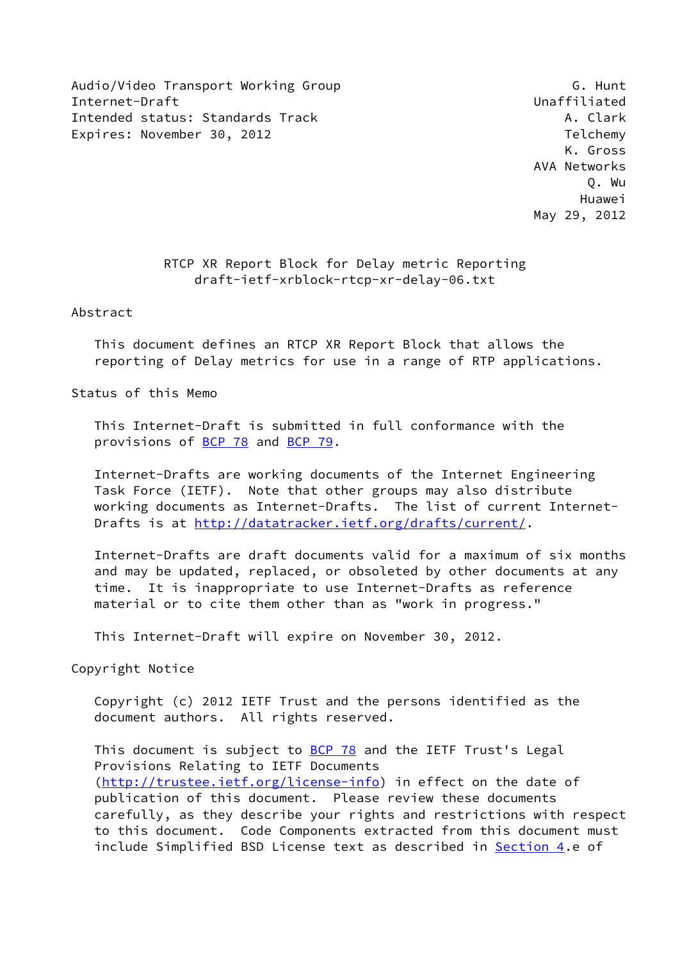Audio/Video Transport Working Group G. G. Hunt Internet-Draft Unaffiliated Intended status: Standards Track A. Clark A. Clark Expires: November 30, 2012 Telchemy

 K. Gross AVA Networks Q. Wu Huawei May 29, 2012

### RTCP XR Report Block for Delay metric Reporting draft-ietf-xrblock-rtcp-xr-delay-06.txt

Abstract

 This document defines an RTCP XR Report Block that allows the reporting of Delay metrics for use in a range of RTP applications.

Status of this Memo

 This Internet-Draft is submitted in full conformance with the provisions of [BCP 78](https://datatracker.ietf.org/doc/pdf/bcp78) and [BCP 79](https://datatracker.ietf.org/doc/pdf/bcp79).

 Internet-Drafts are working documents of the Internet Engineering Task Force (IETF). Note that other groups may also distribute working documents as Internet-Drafts. The list of current Internet Drafts is at<http://datatracker.ietf.org/drafts/current/>.

 Internet-Drafts are draft documents valid for a maximum of six months and may be updated, replaced, or obsoleted by other documents at any time. It is inappropriate to use Internet-Drafts as reference material or to cite them other than as "work in progress."

This Internet-Draft will expire on November 30, 2012.

Copyright Notice

 Copyright (c) 2012 IETF Trust and the persons identified as the document authors. All rights reserved.

This document is subject to **[BCP 78](https://datatracker.ietf.org/doc/pdf/bcp78)** and the IETF Trust's Legal Provisions Relating to IETF Documents [\(http://trustee.ietf.org/license-info](http://trustee.ietf.org/license-info)) in effect on the date of publication of this document. Please review these documents carefully, as they describe your rights and restrictions with respect to this document. Code Components extracted from this document must include Simplified BSD License text as described in [Section 4.](#page-7-0)e of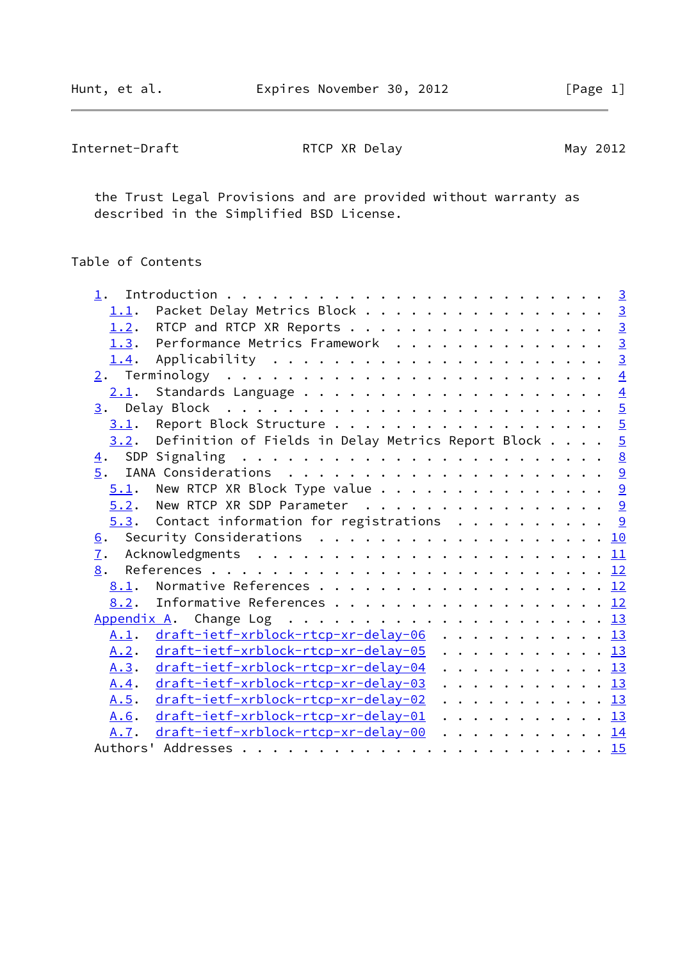| Internet-Draft | RTCP XR Delay | May 2012 |
|----------------|---------------|----------|
|                |               |          |

 the Trust Legal Provisions and are provided without warranty as described in the Simplified BSD License.

## Table of Contents

| 1.1.         | Packet Delay Metrics Block 3                                    |  |  |  |  |
|--------------|-----------------------------------------------------------------|--|--|--|--|
| 1.2.         | RTCP and RTCP XR Reports 3                                      |  |  |  |  |
|              | 1.3. Performance Metrics Framework 3                            |  |  |  |  |
| 1.4.         |                                                                 |  |  |  |  |
|              |                                                                 |  |  |  |  |
|              |                                                                 |  |  |  |  |
|              |                                                                 |  |  |  |  |
|              | 3.1. Report Block Structure 5                                   |  |  |  |  |
| 3.2.         | Definition of Fields in Delay Metrics Report Block $\ldots$ , 5 |  |  |  |  |
|              |                                                                 |  |  |  |  |
|              |                                                                 |  |  |  |  |
|              | $5.1$ . New RTCP XR Block Type value 9                          |  |  |  |  |
|              | $5.2$ . New RTCP XR SDP Parameter 9                             |  |  |  |  |
|              | $5.3$ . Contact information for registrations 9                 |  |  |  |  |
|              | 6. Security Considerations 10                                   |  |  |  |  |
| 7.           |                                                                 |  |  |  |  |
| 8.           |                                                                 |  |  |  |  |
|              | 8.1. Normative References 12                                    |  |  |  |  |
| 8.2.         | Informative References 12                                       |  |  |  |  |
|              |                                                                 |  |  |  |  |
|              | A.1. draft-ietf-xrblock-rtcp-xr-delay-06 13                     |  |  |  |  |
| A.2.         | draft-ietf-xrblock-rtcp-xr-delay-05 13                          |  |  |  |  |
|              | A.3. draft-ietf-xrblock-rtcp-xr-delay-04 13                     |  |  |  |  |
| <u>A.4</u> . | draft-ietf-xrblock-rtcp-xr-delay-03 13                          |  |  |  |  |
| A.5.         | draft-ietf-xrblock-rtcp-xr-delay-02 13                          |  |  |  |  |
| A.6.         | draft-ietf-xrblock-rtcp-xr-delay-01 13                          |  |  |  |  |
| A.7.         | draft-ietf-xrblock-rtcp-xr-delay-00 14                          |  |  |  |  |
|              |                                                                 |  |  |  |  |
|              |                                                                 |  |  |  |  |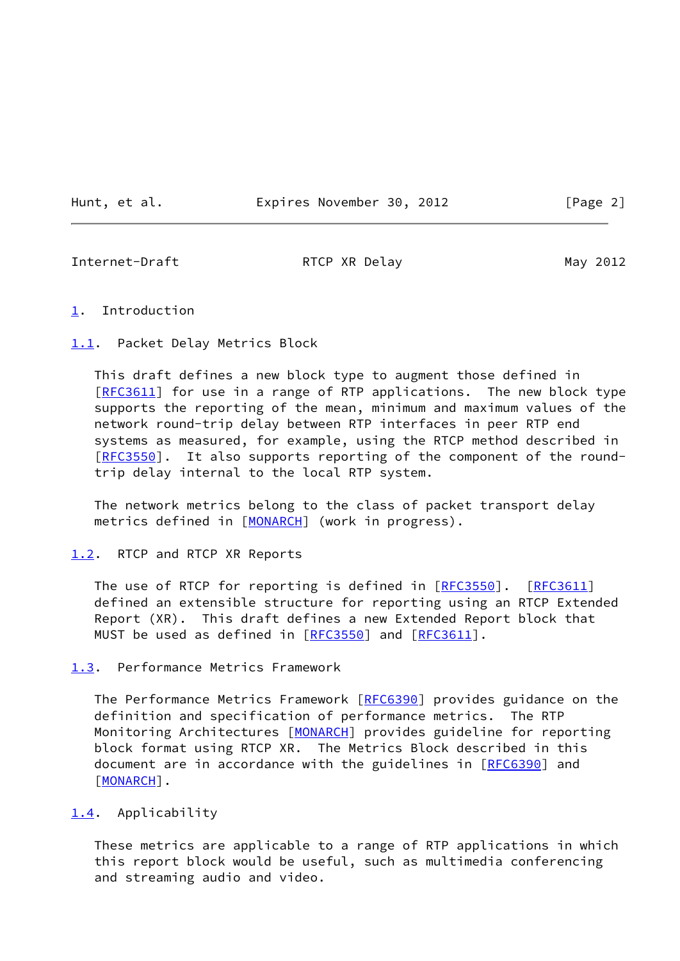Hunt, et al. **Expires November 30, 2012** [Page 2]

<span id="page-2-1"></span>

Internet-Draft **RTCP XR Delay** May 2012

#### <span id="page-2-0"></span>[1](#page-2-0). Introduction

<span id="page-2-2"></span>[1.1](#page-2-2). Packet Delay Metrics Block

 This draft defines a new block type to augment those defined in [\[RFC3611](https://datatracker.ietf.org/doc/pdf/rfc3611)] for use in a range of RTP applications. The new block type supports the reporting of the mean, minimum and maximum values of the network round-trip delay between RTP interfaces in peer RTP end systems as measured, for example, using the RTCP method described in [\[RFC3550](https://datatracker.ietf.org/doc/pdf/rfc3550)]. It also supports reporting of the component of the roundtrip delay internal to the local RTP system.

 The network metrics belong to the class of packet transport delay metrics defined in [[MONARCH\]](#page-13-5) (work in progress).

### <span id="page-2-3"></span>[1.2](#page-2-3). RTCP and RTCP XR Reports

The use of RTCP for reporting is defined in [\[RFC3550](https://datatracker.ietf.org/doc/pdf/rfc3550)]. [\[RFC3611](https://datatracker.ietf.org/doc/pdf/rfc3611)] defined an extensible structure for reporting using an RTCP Extended Report (XR). This draft defines a new Extended Report block that MUST be used as defined in [[RFC3550\]](https://datatracker.ietf.org/doc/pdf/rfc3550) and [\[RFC3611](https://datatracker.ietf.org/doc/pdf/rfc3611)].

<span id="page-2-4"></span>[1.3](#page-2-4). Performance Metrics Framework

The Performance Metrics Framework [[RFC6390](https://datatracker.ietf.org/doc/pdf/rfc6390)] provides guidance on the definition and specification of performance metrics. The RTP Monitoring Architectures [\[MONARCH](#page-13-5)] provides guideline for reporting block format using RTCP XR. The Metrics Block described in this document are in accordance with the guidelines in [[RFC6390](https://datatracker.ietf.org/doc/pdf/rfc6390)] and [\[MONARCH](#page-13-5)].

#### <span id="page-2-5"></span>[1.4](#page-2-5). Applicability

 These metrics are applicable to a range of RTP applications in which this report block would be useful, such as multimedia conferencing and streaming audio and video.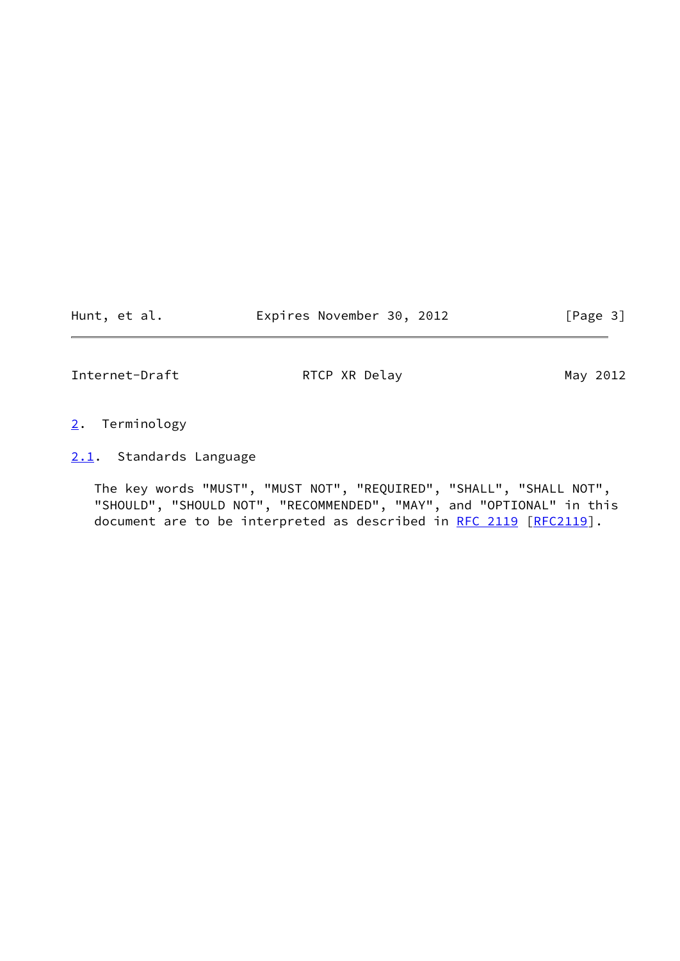Hunt, et al. **Expires November 30, 2012** [Page 3]

<span id="page-3-1"></span>Internet-Draft RTCP XR Delay May 2012

- <span id="page-3-0"></span>[2](#page-3-0). Terminology
- <span id="page-3-2"></span>[2.1](#page-3-2). Standards Language

 The key words "MUST", "MUST NOT", "REQUIRED", "SHALL", "SHALL NOT", "SHOULD", "SHOULD NOT", "RECOMMENDED", "MAY", and "OPTIONAL" in this document are to be interpreted as described in [RFC 2119 \[RFC2119](https://datatracker.ietf.org/doc/pdf/rfc2119)].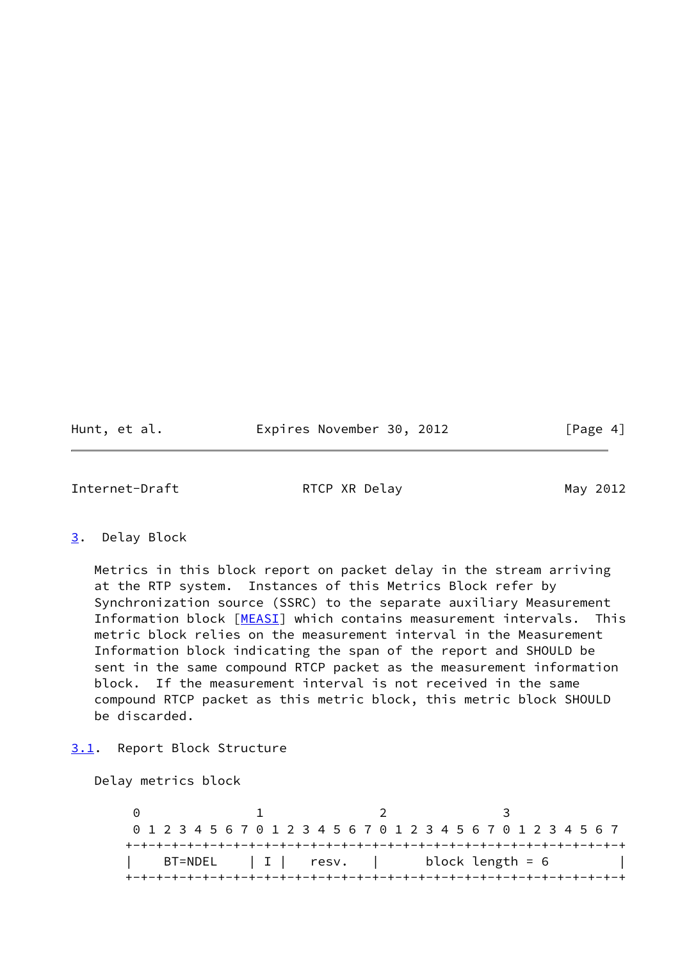Hunt, et al. **Expires November 30, 2012** [Page 4]

<span id="page-4-1"></span>Internet-Draft **RTCP XR Delay** May 2012

<span id="page-4-0"></span>[3](#page-4-0). Delay Block

 Metrics in this block report on packet delay in the stream arriving at the RTP system. Instances of this Metrics Block refer by Synchronization source (SSRC) to the separate auxiliary Measurement Information block [[MEASI\]](#page-12-4) which contains measurement intervals. This metric block relies on the measurement interval in the Measurement Information block indicating the span of the report and SHOULD be sent in the same compound RTCP packet as the measurement information block. If the measurement interval is not received in the same compound RTCP packet as this metric block, this metric block SHOULD be discarded.

<span id="page-4-2"></span>[3.1](#page-4-2). Report Block Structure

Delay metrics block

0 1 2 3 0 1 2 3 4 5 6 7 0 1 2 3 4 5 6 7 0 1 2 3 4 5 6 7 0 1 2 3 4 5 6 7 +-+-+-+-+-+-+-+-+-+-+-+-+-+-+-+-+-+-+-+-+-+-+-+-+-+-+-+-+-+-+-+-+  $BT= NDEL$  | I | resv. | block length = 6 +-+-+-+-+-+-+-+-+-+-+-+-+-+-+-+-+-+-+-+-+-+-+-+-+-+-+-+-+-+-+-+-+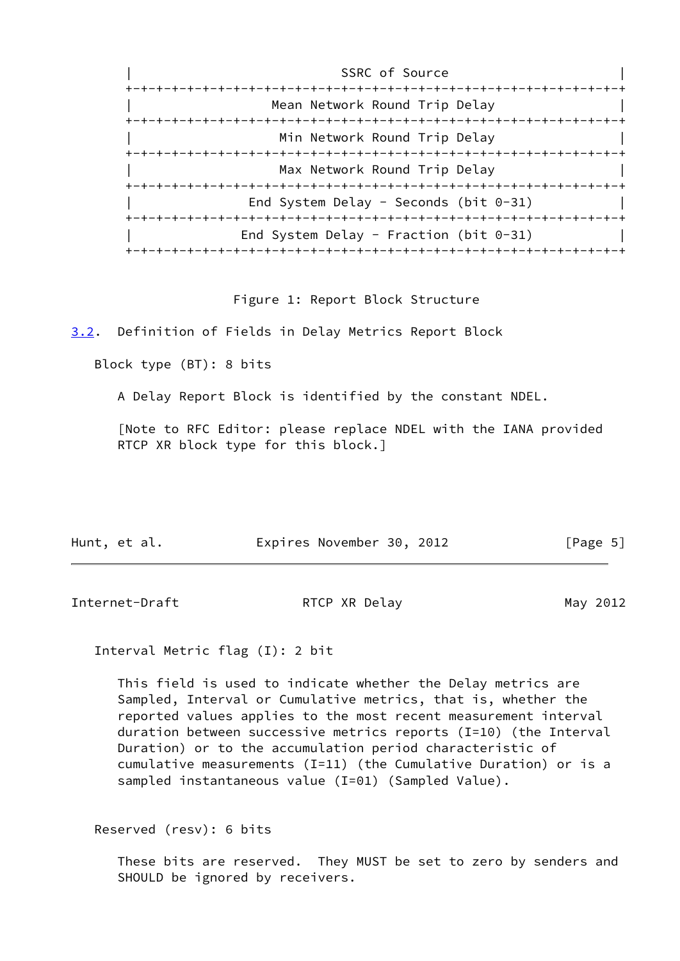| SSRC of Source                            |
|-------------------------------------------|
|                                           |
| Mean Network Round Trip Delay             |
|                                           |
| Min Network Round Trip Delay              |
| -+-+-+-+-+-+-+-+-+-+-+-+-+                |
| Max Network Round Trip Delay              |
|                                           |
| End System Delay - Seconds (bit $0-31$ )  |
|                                           |
| End System Delay - Fraction (bit $0-31$ ) |
|                                           |

Figure 1: Report Block Structure

<span id="page-5-0"></span>[3.2](#page-5-0). Definition of Fields in Delay Metrics Report Block

Block type (BT): 8 bits

A Delay Report Block is identified by the constant NDEL.

 [Note to RFC Editor: please replace NDEL with the IANA provided RTCP XR block type for this block.]

| Hunt, et al. | Expires November 30, 2012 | [Page 5] |
|--------------|---------------------------|----------|
|              |                           |          |

Internet-Draft RTCP XR Delay May 2012

Interval Metric flag (I): 2 bit

 This field is used to indicate whether the Delay metrics are Sampled, Interval or Cumulative metrics, that is, whether the reported values applies to the most recent measurement interval duration between successive metrics reports (I=10) (the Interval Duration) or to the accumulation period characteristic of cumulative measurements (I=11) (the Cumulative Duration) or is a sampled instantaneous value (I=01) (Sampled Value).

Reserved (resv): 6 bits

 These bits are reserved. They MUST be set to zero by senders and SHOULD be ignored by receivers.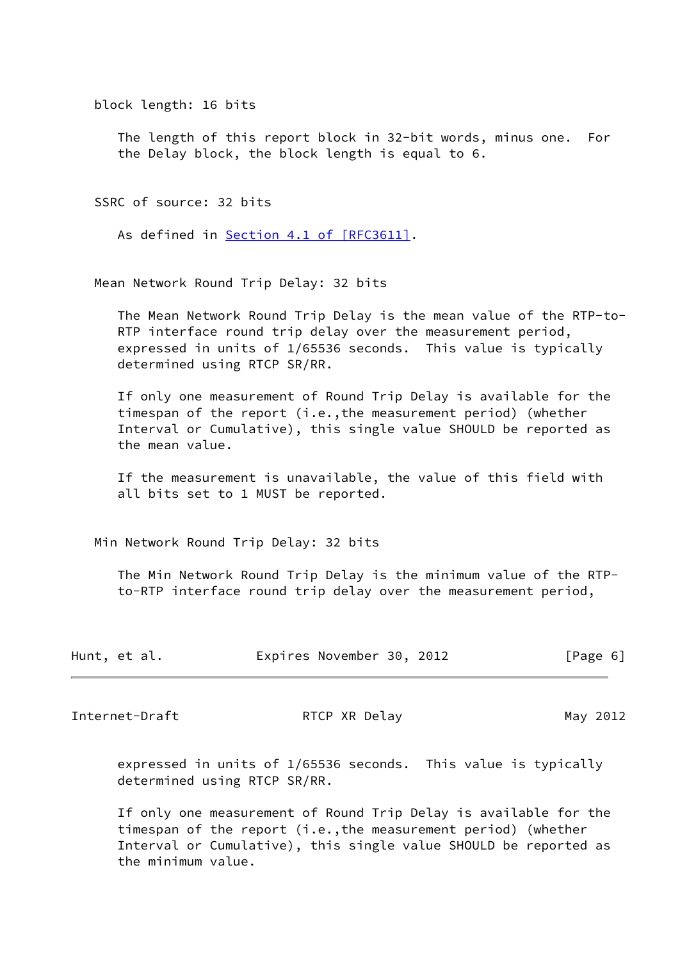block length: 16 bits

 The length of this report block in 32-bit words, minus one. For the Delay block, the block length is equal to 6.

SSRC of source: 32 bits

As defined in Section [4.1 of \[RFC3611\]](https://datatracker.ietf.org/doc/pdf/rfc3611#section-4.1).

Mean Network Round Trip Delay: 32 bits

 The Mean Network Round Trip Delay is the mean value of the RTP-to- RTP interface round trip delay over the measurement period, expressed in units of 1/65536 seconds. This value is typically determined using RTCP SR/RR.

 If only one measurement of Round Trip Delay is available for the timespan of the report (i.e.,the measurement period) (whether Interval or Cumulative), this single value SHOULD be reported as the mean value.

 If the measurement is unavailable, the value of this field with all bits set to 1 MUST be reported.

Min Network Round Trip Delay: 32 bits

 The Min Network Round Trip Delay is the minimum value of the RTP to-RTP interface round trip delay over the measurement period,

|  | Hunt, et al. |  | Expires November 30, 2012 |  |  | [Page 6] |
|--|--------------|--|---------------------------|--|--|----------|
|--|--------------|--|---------------------------|--|--|----------|

Internet-Draft RTCP XR Delay May 2012

 expressed in units of 1/65536 seconds. This value is typically determined using RTCP SR/RR.

 If only one measurement of Round Trip Delay is available for the timespan of the report (i.e.,the measurement period) (whether Interval or Cumulative), this single value SHOULD be reported as the minimum value.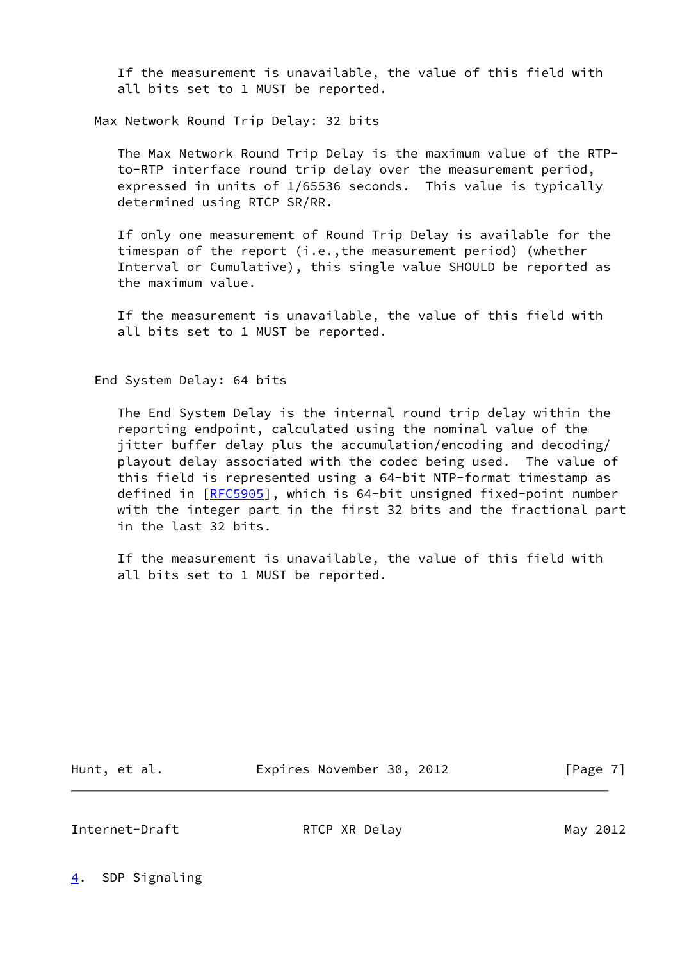If the measurement is unavailable, the value of this field with all bits set to 1 MUST be reported.

Max Network Round Trip Delay: 32 bits

 The Max Network Round Trip Delay is the maximum value of the RTP to-RTP interface round trip delay over the measurement period, expressed in units of 1/65536 seconds. This value is typically determined using RTCP SR/RR.

 If only one measurement of Round Trip Delay is available for the timespan of the report (i.e.,the measurement period) (whether Interval or Cumulative), this single value SHOULD be reported as the maximum value.

 If the measurement is unavailable, the value of this field with all bits set to 1 MUST be reported.

End System Delay: 64 bits

 The End System Delay is the internal round trip delay within the reporting endpoint, calculated using the nominal value of the jitter buffer delay plus the accumulation/encoding and decoding/ playout delay associated with the codec being used. The value of this field is represented using a 64-bit NTP-format timestamp as defined in [[RFC5905](https://datatracker.ietf.org/doc/pdf/rfc5905)], which is 64-bit unsigned fixed-point number with the integer part in the first 32 bits and the fractional part in the last 32 bits.

 If the measurement is unavailable, the value of this field with all bits set to 1 MUST be reported.

Hunt, et al. **Expires November 30, 2012** [Page 7]

<span id="page-7-1"></span>Internet-Draft **RTCP XR Delay** May 2012

<span id="page-7-0"></span>[4](#page-7-0). SDP Signaling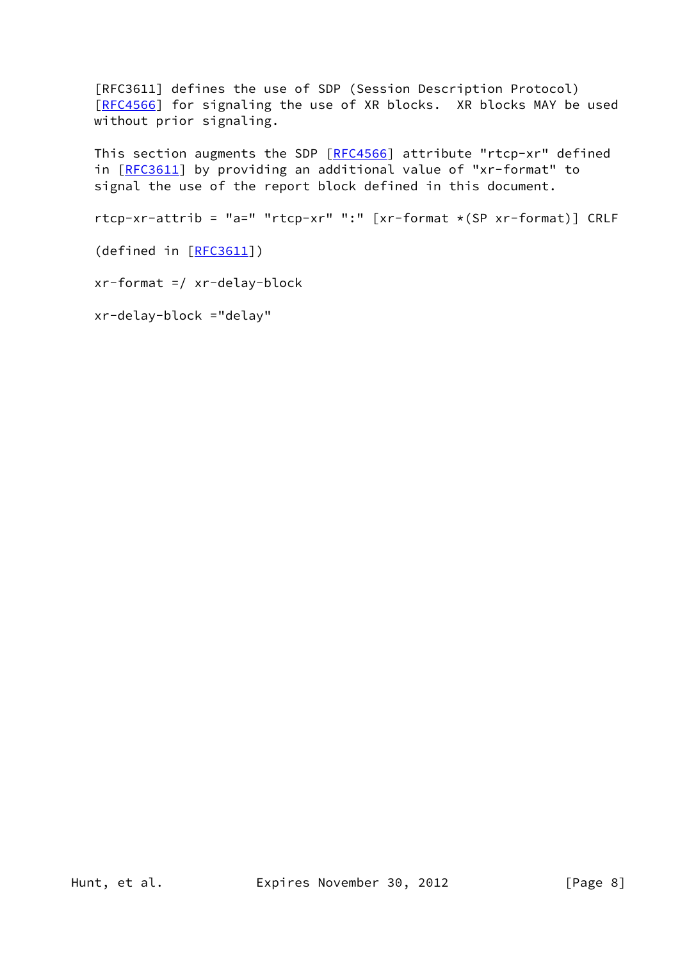[RFC3611] defines the use of SDP (Session Description Protocol) [\[RFC4566](https://datatracker.ietf.org/doc/pdf/rfc4566)] for signaling the use of XR blocks. XR blocks MAY be used without prior signaling.

This section augments the SDP [[RFC4566](https://datatracker.ietf.org/doc/pdf/rfc4566)] attribute "rtcp-xr" defined in [[RFC3611\]](https://datatracker.ietf.org/doc/pdf/rfc3611) by providing an additional value of "xr-format" to signal the use of the report block defined in this document.

rtcp-xr-attrib = "a=" "rtcp-xr" ":" [xr-format \*(SP xr-format)] CRLF

(defined in [\[RFC3611](https://datatracker.ietf.org/doc/pdf/rfc3611)])

xr-format =/ xr-delay-block

xr-delay-block ="delay"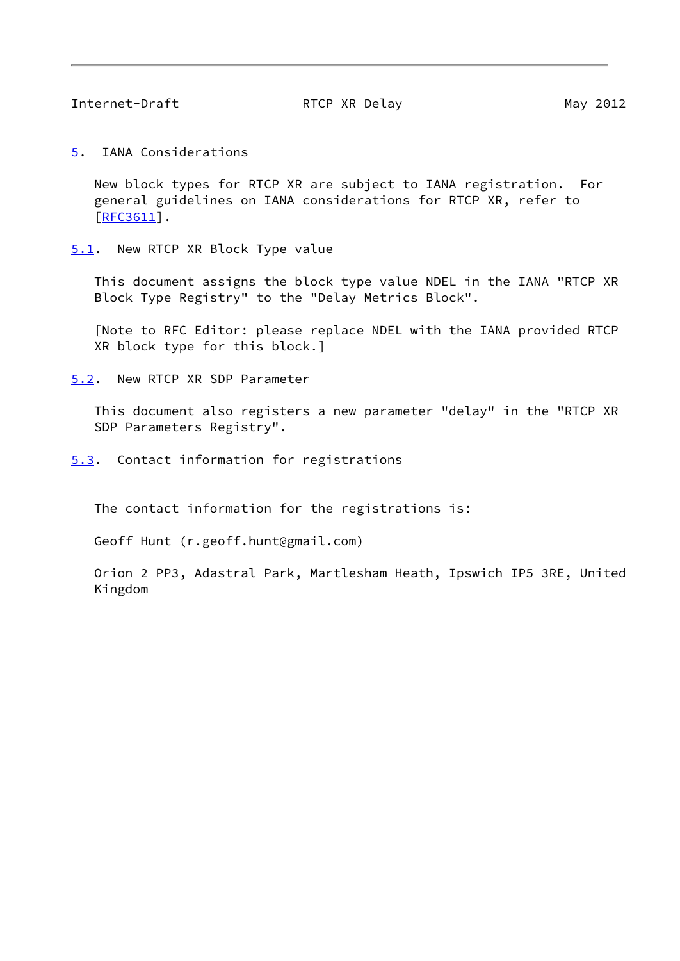<span id="page-9-1"></span>Internet-Draft **RTCP XR Delay** May 2012

<span id="page-9-0"></span>[5](#page-9-0). IANA Considerations

 New block types for RTCP XR are subject to IANA registration. For general guidelines on IANA considerations for RTCP XR, refer to [\[RFC3611](https://datatracker.ietf.org/doc/pdf/rfc3611)].

<span id="page-9-2"></span>[5.1](#page-9-2). New RTCP XR Block Type value

 This document assigns the block type value NDEL in the IANA "RTCP XR Block Type Registry" to the "Delay Metrics Block".

 [Note to RFC Editor: please replace NDEL with the IANA provided RTCP XR block type for this block.]

<span id="page-9-3"></span>[5.2](#page-9-3). New RTCP XR SDP Parameter

 This document also registers a new parameter "delay" in the "RTCP XR SDP Parameters Registry".

<span id="page-9-4"></span>[5.3](#page-9-4). Contact information for registrations

The contact information for the registrations is:

Geoff Hunt (r.geoff.hunt@gmail.com)

 Orion 2 PP3, Adastral Park, Martlesham Heath, Ipswich IP5 3RE, United Kingdom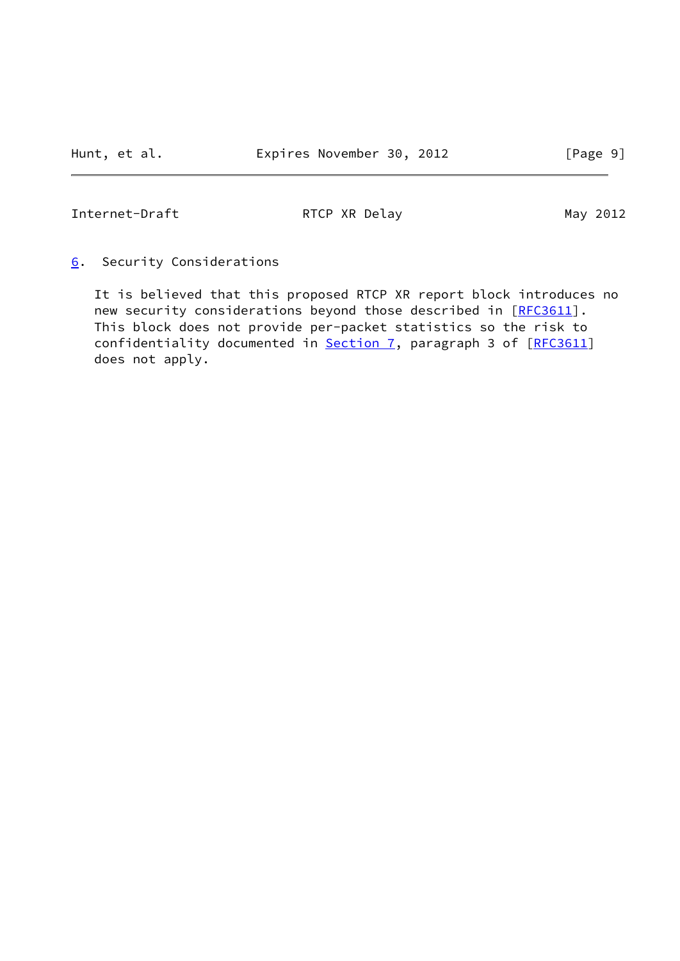<span id="page-10-1"></span>Internet-Draft RTCP XR Delay May 2012

<span id="page-10-0"></span>[6](#page-10-0). Security Considerations

 It is believed that this proposed RTCP XR report block introduces no new security considerations beyond those described in [[RFC3611](https://datatracker.ietf.org/doc/pdf/rfc3611)]. This block does not provide per-packet statistics so the risk to confidentiality documented in [Section 7,](#page-11-0) paragraph 3 of [\[RFC3611](https://datatracker.ietf.org/doc/pdf/rfc3611)] does not apply.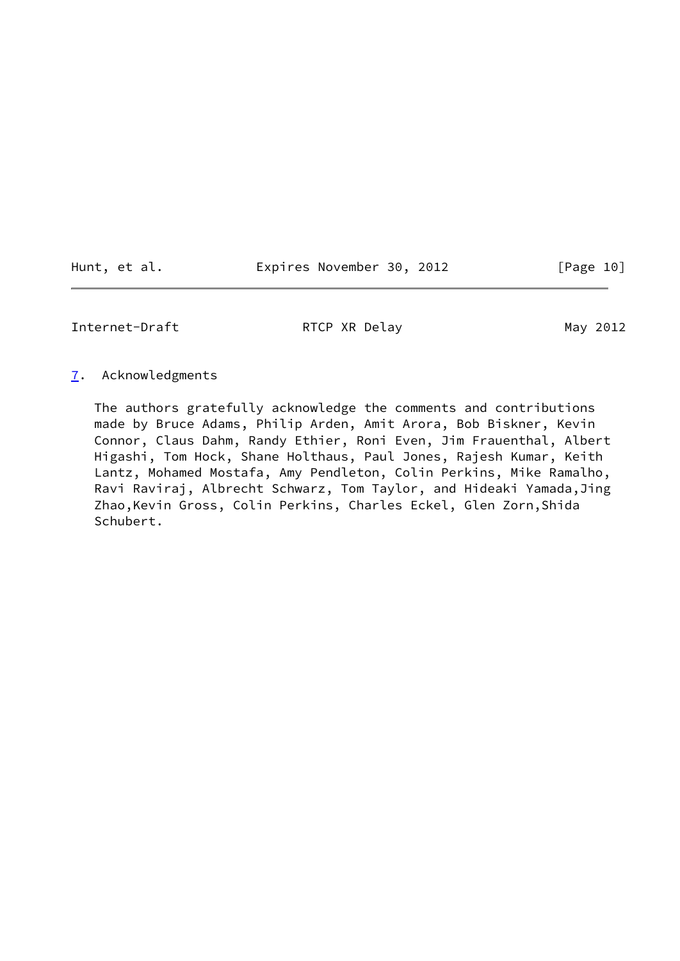Hunt, et al. **Expires November 30, 2012** [Page 10]

<span id="page-11-1"></span>Internet-Draft RTCP XR Delay May 2012

#### <span id="page-11-0"></span>[7](#page-11-0). Acknowledgments

 The authors gratefully acknowledge the comments and contributions made by Bruce Adams, Philip Arden, Amit Arora, Bob Biskner, Kevin Connor, Claus Dahm, Randy Ethier, Roni Even, Jim Frauenthal, Albert Higashi, Tom Hock, Shane Holthaus, Paul Jones, Rajesh Kumar, Keith Lantz, Mohamed Mostafa, Amy Pendleton, Colin Perkins, Mike Ramalho, Ravi Raviraj, Albrecht Schwarz, Tom Taylor, and Hideaki Yamada,Jing Zhao,Kevin Gross, Colin Perkins, Charles Eckel, Glen Zorn,Shida Schubert.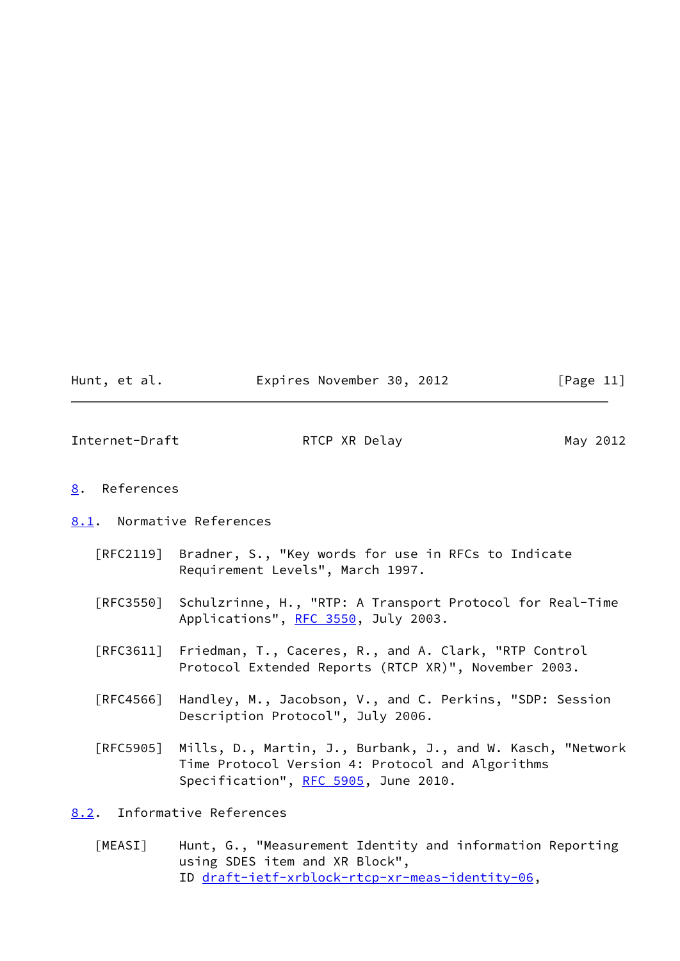| Hunt, et al. | Expires November 30, 2012 |  | [Page 11] |
|--------------|---------------------------|--|-----------|
|--------------|---------------------------|--|-----------|

<span id="page-12-1"></span>Internet-Draft RTCP XR Delay May 2012

## <span id="page-12-0"></span>[8](#page-12-0). References

<span id="page-12-2"></span>[8.1](#page-12-2). Normative References

- [RFC2119] Bradner, S., "Key words for use in RFCs to Indicate Requirement Levels", March 1997.
- [RFC3550] Schulzrinne, H., "RTP: A Transport Protocol for Real-Time Applications", [RFC 3550](https://datatracker.ietf.org/doc/pdf/rfc3550), July 2003.
- [RFC3611] Friedman, T., Caceres, R., and A. Clark, "RTP Control Protocol Extended Reports (RTCP XR)", November 2003.
- [RFC4566] Handley, M., Jacobson, V., and C. Perkins, "SDP: Session Description Protocol", July 2006.
- [RFC5905] Mills, D., Martin, J., Burbank, J., and W. Kasch, "Network Time Protocol Version 4: Protocol and Algorithms Specification", [RFC 5905,](https://datatracker.ietf.org/doc/pdf/rfc5905) June 2010.

# <span id="page-12-3"></span>[8.2](#page-12-3). Informative References

<span id="page-12-4"></span> [MEASI] Hunt, G., "Measurement Identity and information Reporting using SDES item and XR Block", ID [draft-ietf-xrblock-rtcp-xr-meas-identity-06](https://datatracker.ietf.org/doc/pdf/draft-ietf-xrblock-rtcp-xr-meas-identity-06),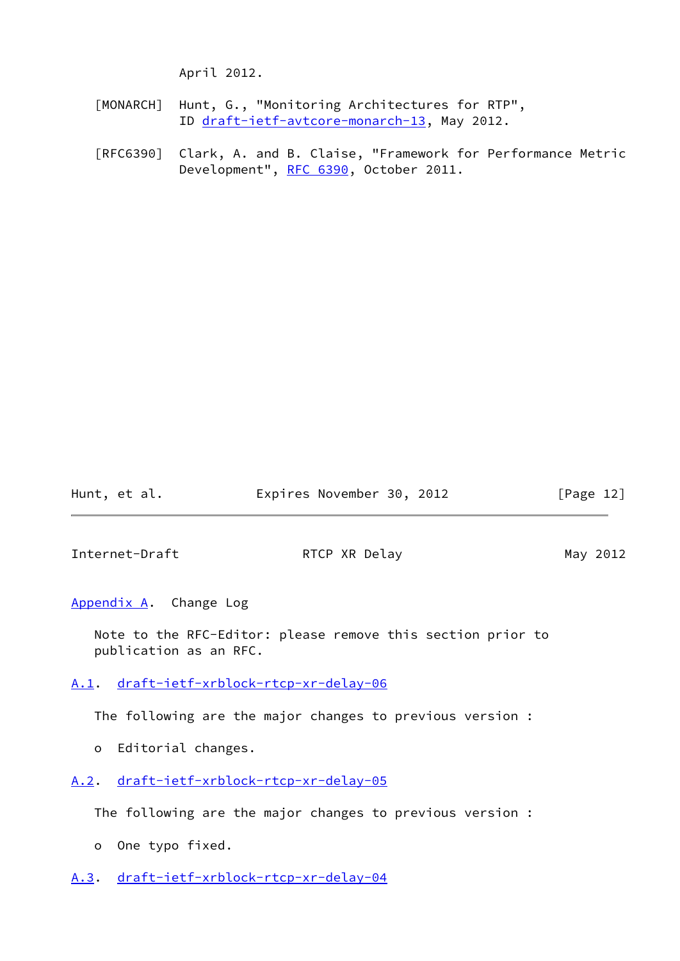April 2012.

- <span id="page-13-5"></span> [MONARCH] Hunt, G., "Monitoring Architectures for RTP", ID [draft-ietf-avtcore-monarch-13,](https://datatracker.ietf.org/doc/pdf/draft-ietf-avtcore-monarch-13) May 2012.
- [RFC6390] Clark, A. and B. Claise, "Framework for Performance Metric Development", [RFC 6390](https://datatracker.ietf.org/doc/pdf/rfc6390), October 2011.

Hunt, et al. **Expires November 30, 2012** [Page 12]

<span id="page-13-1"></span>Internet-Draft RTCP XR Delay May 2012

<span id="page-13-0"></span>[Appendix A.](#page-13-0) Change Log

 Note to the RFC-Editor: please remove this section prior to publication as an RFC.

<span id="page-13-2"></span>[A.1](#page-13-2). [draft-ietf-xrblock-rtcp-xr-delay-06](https://datatracker.ietf.org/doc/pdf/draft-ietf-xrblock-rtcp-xr-delay-06)

The following are the major changes to previous version :

- o Editorial changes.
- <span id="page-13-3"></span>[A.2](#page-13-3). [draft-ietf-xrblock-rtcp-xr-delay-05](https://datatracker.ietf.org/doc/pdf/draft-ietf-xrblock-rtcp-xr-delay-05)

The following are the major changes to previous version :

- o One typo fixed.
- <span id="page-13-4"></span>[A.3](#page-13-4). [draft-ietf-xrblock-rtcp-xr-delay-04](https://datatracker.ietf.org/doc/pdf/draft-ietf-xrblock-rtcp-xr-delay-04)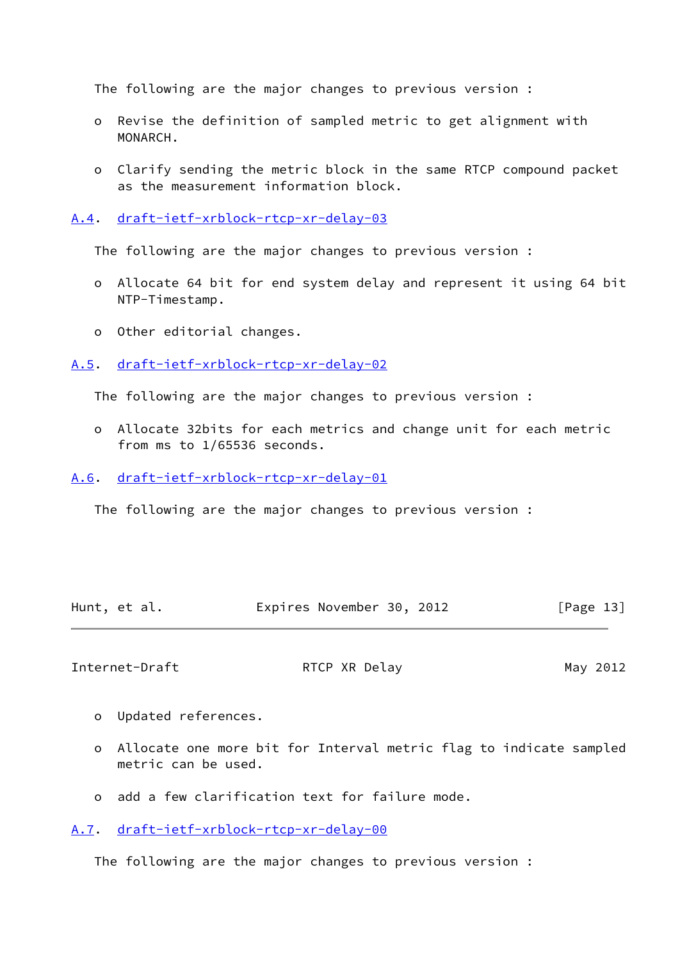The following are the major changes to previous version :

- o Revise the definition of sampled metric to get alignment with MONARCH.
- o Clarify sending the metric block in the same RTCP compound packet as the measurement information block.

<span id="page-14-0"></span>[A.4](#page-14-0). [draft-ietf-xrblock-rtcp-xr-delay-03](https://datatracker.ietf.org/doc/pdf/draft-ietf-xrblock-rtcp-xr-delay-03)

The following are the major changes to previous version :

- o Allocate 64 bit for end system delay and represent it using 64 bit NTP-Timestamp.
- o Other editorial changes.

<span id="page-14-1"></span>[A.5](#page-14-1). [draft-ietf-xrblock-rtcp-xr-delay-02](https://datatracker.ietf.org/doc/pdf/draft-ietf-xrblock-rtcp-xr-delay-02)

The following are the major changes to previous version :

 o Allocate 32bits for each metrics and change unit for each metric from ms to 1/65536 seconds.

<span id="page-14-2"></span>[A.6](#page-14-2). [draft-ietf-xrblock-rtcp-xr-delay-01](https://datatracker.ietf.org/doc/pdf/draft-ietf-xrblock-rtcp-xr-delay-01)

The following are the major changes to previous version :

|  | Hunt, et al. | Expires November 30, 2012 |  | [Page 13] |
|--|--------------|---------------------------|--|-----------|
|--|--------------|---------------------------|--|-----------|

<span id="page-14-4"></span>Internet-Draft **RTCP XR Delay** May 2012

- o Updated references.
- o Allocate one more bit for Interval metric flag to indicate sampled metric can be used.
- o add a few clarification text for failure mode.

<span id="page-14-3"></span>[A.7](#page-14-3). [draft-ietf-xrblock-rtcp-xr-delay-00](https://datatracker.ietf.org/doc/pdf/draft-ietf-xrblock-rtcp-xr-delay-00)

The following are the major changes to previous version :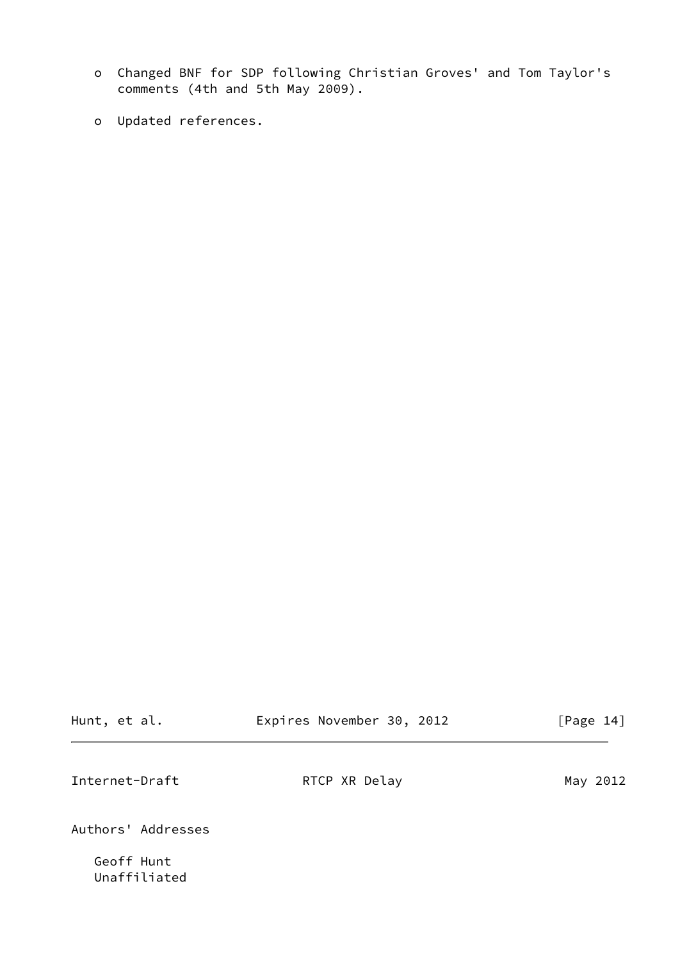- o Changed BNF for SDP following Christian Groves' and Tom Taylor's comments (4th and 5th May 2009).
- o Updated references.

Unaffiliated

<span id="page-15-0"></span>

| Hunt, et al.       | Expires November 30, 2012 | [Page 14] |
|--------------------|---------------------------|-----------|
| Internet-Draft     | RTCP XR Delay             | May 2012  |
| Authors' Addresses |                           |           |
| Geoff Hunt         |                           |           |